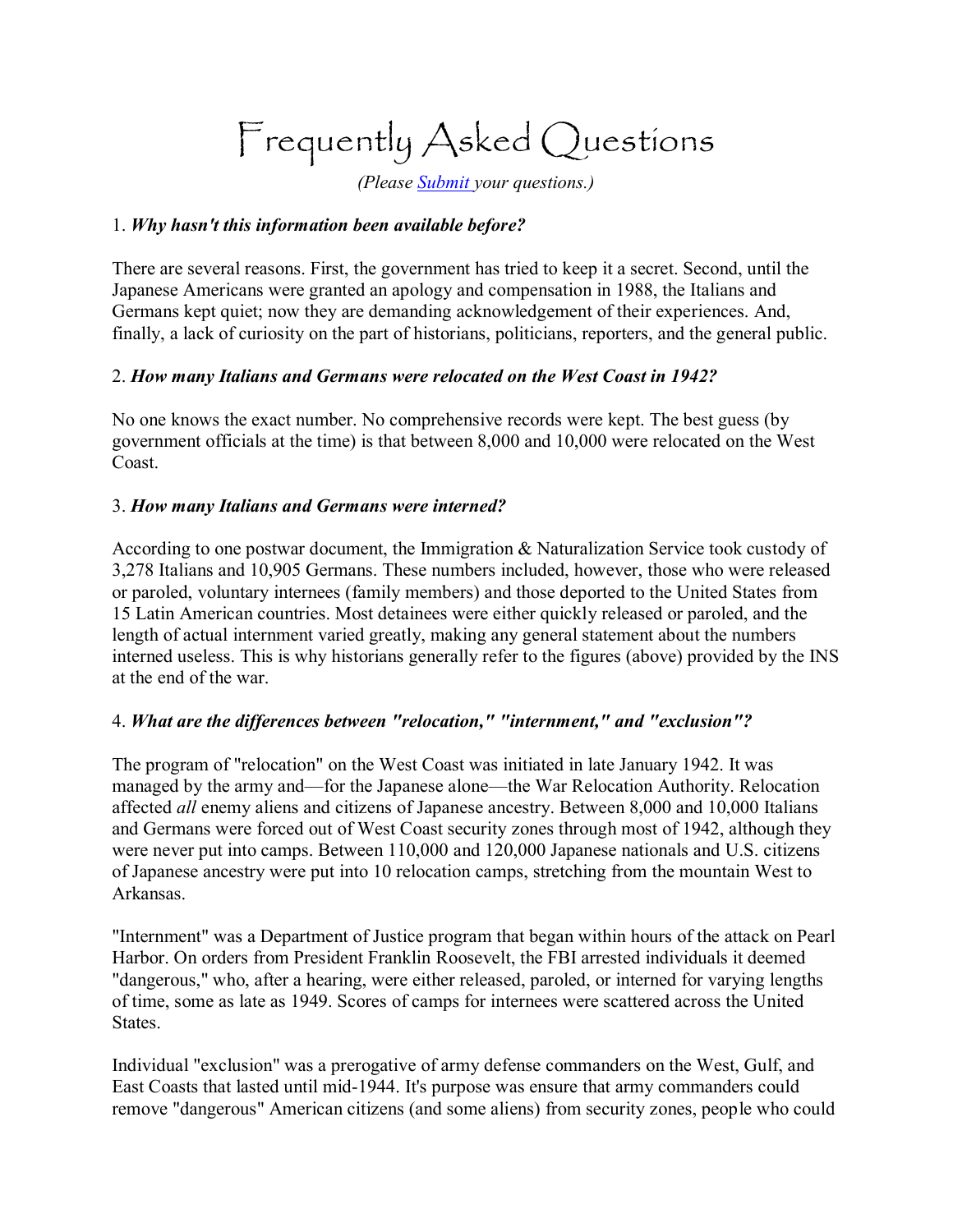# Frequently Asked Questions

*(Please [Submit y](mailto:fannefox@yahoo.com)our questions.)*

### 1. *Why hasn't this information been available before?*

There are several reasons. First, the government has tried to keep it a secret. Second, until the Japanese Americans were granted an apology and compensation in 1988, the Italians and Germans kept quiet; now they are demanding acknowledgement of their experiences. And, finally, a lack of curiosity on the part of historians, politicians, reporters, and the general public.

## 2. *How many Italians and Germans were relocated on the West Coast in 1942?*

No one knows the exact number. No comprehensive records were kept. The best guess (by government officials at the time) is that between 8,000 and 10,000 were relocated on the West Coast.

### 3. *How many Italians and Germans were interned?*

According to one postwar document, the Immigration & Naturalization Service took custody of 3,278 Italians and 10,905 Germans. These numbers included, however, those who were released or paroled, voluntary internees (family members) and those deported to the United States from 15 Latin American countries. Most detainees were either quickly released or paroled, and the length of actual internment varied greatly, making any general statement about the numbers interned useless. This is why historians generally refer to the figures (above) provided by the INS at the end of the war.

#### 4. *What are the differences between "relocation," "internment," and "exclusion"?*

The program of "relocation" on the West Coast was initiated in late January 1942. It was managed by the army and—for the Japanese alone—the War Relocation Authority. Relocation affected *all* enemy aliens and citizens of Japanese ancestry. Between 8,000 and 10,000 Italians and Germans were forced out of West Coast security zones through most of 1942, although they were never put into camps. Between 110,000 and 120,000 Japanese nationals and U.S. citizens of Japanese ancestry were put into 10 relocation camps, stretching from the mountain West to Arkansas.

"Internment" was a Department of Justice program that began within hours of the attack on Pearl Harbor. On orders from President Franklin Roosevelt, the FBI arrested individuals it deemed "dangerous," who, after a hearing, were either released, paroled, or interned for varying lengths of time, some as late as 1949. Scores of camps for internees were scattered across the United States.

Individual "exclusion" was a prerogative of army defense commanders on the West, Gulf, and East Coasts that lasted until mid-1944. It's purpose was ensure that army commanders could remove "dangerous" American citizens (and some aliens) from security zones, people who could